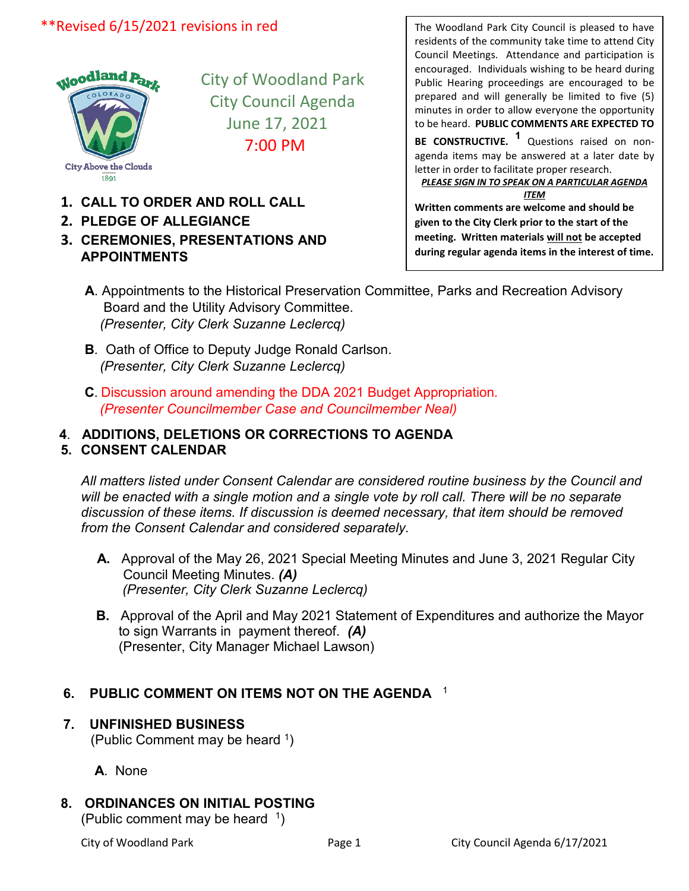## \*\*Revised 6/15/2021 revisions in red



City of Woodland Park City Council Agenda June 17, 2021 7:00 PM

- **1. CALL TO ORDER AND ROLL CALL**
- **2. PLEDGE OF ALLEGIANCE**
- **3. CEREMONIES, PRESENTATIONS AND APPOINTMENTS**

The Woodland Park City Council is pleased to have residents of the community take time to attend City Council Meetings. Attendance and participation is encouraged. Individuals wishing to be heard during Public Hearing proceedings are encouraged to be prepared and will generally be limited to five (5) minutes in order to allow everyone the opportunity to be heard. **PUBLIC COMMENTS ARE EXPECTED TO** 

**BE CONSTRUCTIVE. <sup>1</sup>** Questions raised on nonagenda items may be answered at a later date by letter in order to facilitate proper research. *PLEASE SIGN IN TO SPEAK ON A PARTICULAR AGENDA* 

*ITEM*

**Written comments are welcome and should be given to the City Clerk prior to the start of the meeting. Written materials will not be accepted during regular agenda items in the interest of time.**

- **A**. Appointments to the Historical Preservation Committee, Parks and Recreation Advisory Board and the Utility Advisory Committee.  *(Presenter, City Clerk Suzanne Leclercq)*
- **B***.* Oath of Office to Deputy Judge Ronald Carlson.  *(Presenter, City Clerk Suzanne Leclercq)*
- **C***.* Discussion around amending the DDA 2021 Budget Appropriation*. (Presenter Councilmember Case and Councilmember Neal)*

#### **4**. **ADDITIONS, DELETIONS OR CORRECTIONS TO AGENDA 5. CONSENT CALENDAR**

*All matters listed under Consent Calendar are considered routine business by the Council and*  will be enacted with a single motion and a single vote by roll call. There will be no separate *discussion of these items. If discussion is deemed necessary, that item should be removed from the Consent Calendar and considered separately.*

- **A.** Approval of the May 26, 2021 Special Meeting Minutes and June 3, 2021 Regular City Council Meeting Minutes. *(A) (Presenter, City Clerk Suzanne Leclercq)*
- **B.** Approval of the April and May 2021 Statement of Expenditures and authorize the Mayor to sign Warrants in payment thereof. *(A)*  (Presenter, City Manager Michael Lawson)

### **6. PUBLIC COMMENT ON ITEMS NOT ON THE AGENDA** <sup>1</sup>

# **7. UNFINISHED BUSINESS**

(Public Comment may be heard 1)

 **A**. None

### **8. ORDINANCES ON INITIAL POSTING**

(Public comment may be heard 1)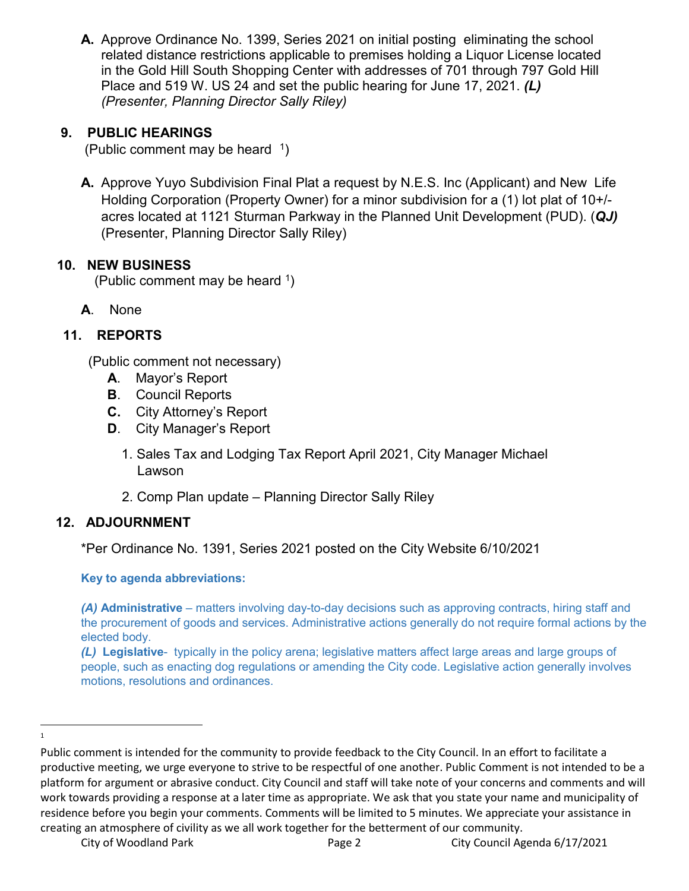**A.** Approve Ordinance No. 1399, Series 2021 on initial posting eliminating the school related distance restrictions applicable to premises holding a Liquor License located in the Gold Hill South Shopping Center with addresses of 701 through 797 Gold Hill Place and 519 W. US 24 and set the public hearing for June 17, 2021. *(L) (Presenter, Planning Director Sally Riley)*

## **9. PUBLIC HEARINGS**

(Public comment may be heard  $1$ )

**A.** Approve Yuyo Subdivision Final Plat a request by N.E.S. Inc (Applicant) and New Life Holding Corporation (Property Owner) for a minor subdivision for a (1) lot plat of 10+/ acres located at 1121 Sturman Parkway in the Planned Unit Development (PUD). (*QJ)* (Presenter, Planning Director Sally Riley)

### **10. NEW BUSINESS**

(Public comment may be heard  $\frac{1}{1}$ )

**A**. None

# **11. REPORTS**

(Public comment not necessary)

- **A**. Mayor's Report
- **B**. Council Reports
- **C.** City Attorney's Report
- **D**. City Manager's Report
	- 1. Sales Tax and Lodging Tax Report April 2021, City Manager Michael Lawson
	- 2. Comp Plan update Planning Director Sally Riley

# **12. ADJOURNMENT**

\*Per Ordinance No. 1391, Series 2021 posted on the City Website 6/10/2021

**Key to agenda abbreviations:**

*(A)* **Administrative** – matters involving day-to-day decisions such as approving contracts, hiring staff and the procurement of goods and services. Administrative actions generally do not require formal actions by the elected body.

*(L)* **Legislative**- typically in the policy arena; legislative matters affect large areas and large groups of people, such as enacting dog regulations or amending the City code. Legislative action generally involves motions, resolutions and ordinances.

<span id="page-1-0"></span> $\frac{1}{1}$  $\mathbf{1}$ 

Public comment is intended for the community to provide feedback to the City Council. In an effort to facilitate a productive meeting, we urge everyone to strive to be respectful of one another. Public Comment is not intended to be a platform for argument or abrasive conduct. City Council and staff will take note of your concerns and comments and will work towards providing a response at a later time as appropriate. We ask that you state your name and municipality of residence before you begin your comments. Comments will be limited to 5 minutes. We appreciate your assistance in creating an atmosphere of civility as we all work together for the betterment of our community.